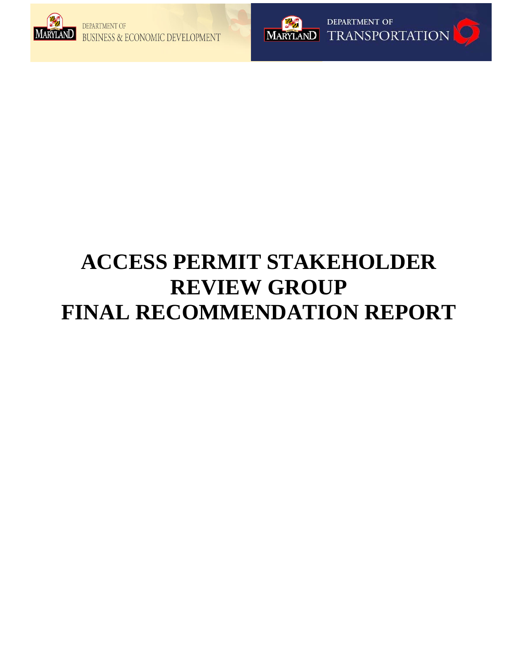



# **ACCESS PERMIT STAKEHOLDER REVIEW GROUP FINAL RECOMMENDATION REPORT**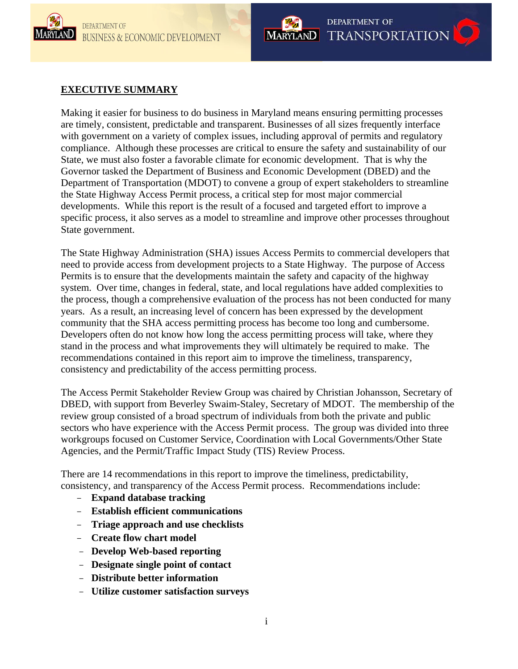



# **EXECUTIVE SUMMARY**

Making it easier for business to do business in Maryland means ensuring permitting processes are timely, consistent, predictable and transparent. Businesses of all sizes frequently interface with government on a variety of complex issues, including approval of permits and regulatory compliance. Although these processes are critical to ensure the safety and sustainability of our State, we must also foster a favorable climate for economic development. That is why the Governor tasked the Department of Business and Economic Development (DBED) and the Department of Transportation (MDOT) to convene a group of expert stakeholders to streamline the State Highway Access Permit process, a critical step for most major commercial developments. While this report is the result of a focused and targeted effort to improve a specific process, it also serves as a model to streamline and improve other processes throughout State government.

The State Highway Administration (SHA) issues Access Permits to commercial developers that need to provide access from development projects to a State Highway. The purpose of Access Permits is to ensure that the developments maintain the safety and capacity of the highway system. Over time, changes in federal, state, and local regulations have added complexities to the process, though a comprehensive evaluation of the process has not been conducted for many years. As a result, an increasing level of concern has been expressed by the development community that the SHA access permitting process has become too long and cumbersome. Developers often do not know how long the access permitting process will take, where they stand in the process and what improvements they will ultimately be required to make. The recommendations contained in this report aim to improve the timeliness, transparency, consistency and predictability of the access permitting process.

The Access Permit Stakeholder Review Group was chaired by Christian Johansson, Secretary of DBED, with support from Beverley Swaim-Staley, Secretary of MDOT. The membership of the review group consisted of a broad spectrum of individuals from both the private and public sectors who have experience with the Access Permit process. The group was divided into three workgroups focused on Customer Service, Coordination with Local Governments/Other State Agencies, and the Permit/Traffic Impact Study (TIS) Review Process.

There are 14 recommendations in this report to improve the timeliness, predictability, consistency, and transparency of the Access Permit process. Recommendations include:

- **Expand database tracking**
- **Establish efficient communications**
- **Triage approach and use checklists**
- **Create flow chart model**
- **Develop Web-based reporting**
- **Designate single point of contact**
- **Distribute better information**
- **Utilize customer satisfaction surveys**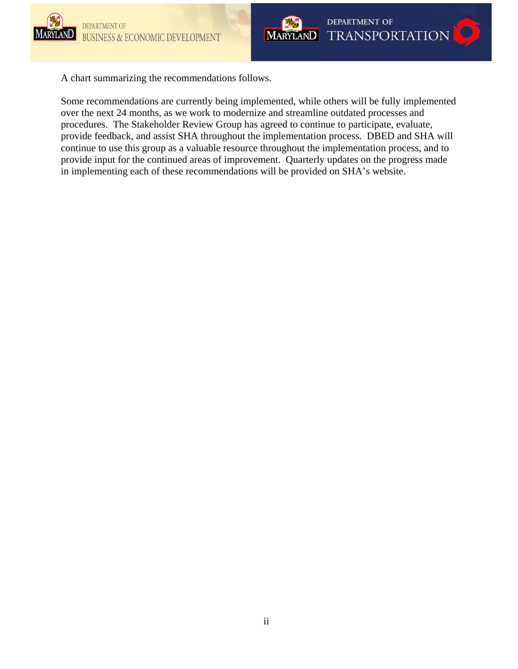



A chart summarizing the recommendations follows.

Some recommendations are currently being implemented, while others will be fully implemented over the next 24 months, as we work to modernize and streamline outdated processes and procedures. The Stakeholder Review Group has agreed to continue to participate, evaluate, provide feedback, and assist SHA throughout the implementation process. DBED and SHA will continue to use this group as a valuable resource throughout the implementation process, and to provide input for the continued areas of improvement. Quarterly updates on the progress made in implementing each of these recommendations will be provided on SHA's website.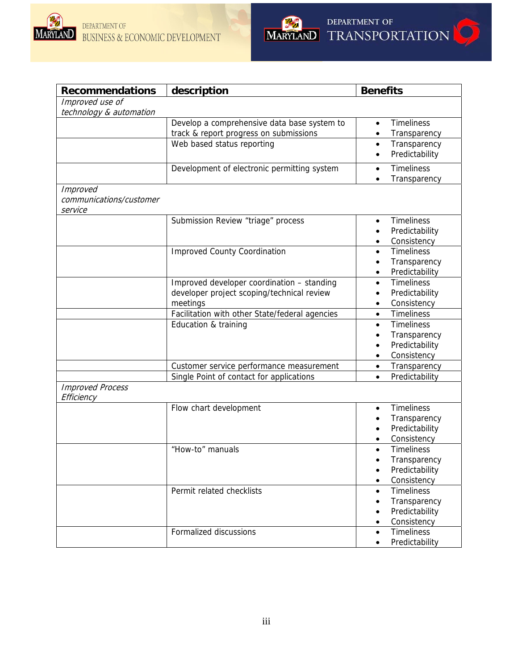



| <b>Recommendations</b>  | description                                    | <b>Benefits</b>                |
|-------------------------|------------------------------------------------|--------------------------------|
| Improved use of         |                                                |                                |
| technology & automation |                                                |                                |
|                         | Develop a comprehensive data base system to    | <b>Timeliness</b><br>$\bullet$ |
|                         | track & report progress on submissions         | Transparency<br>$\bullet$      |
|                         | Web based status reporting                     | Transparency<br>$\bullet$      |
|                         |                                                | Predictability                 |
|                         | Development of electronic permitting system    | <b>Timeliness</b><br>$\bullet$ |
|                         |                                                | Transparency                   |
| <b>Improved</b>         |                                                |                                |
| communications/customer |                                                |                                |
| service                 |                                                |                                |
|                         | Submission Review "triage" process             | <b>Timeliness</b>              |
|                         |                                                | Predictability                 |
|                         |                                                | Consistency                    |
|                         | <b>Improved County Coordination</b>            | <b>Timeliness</b><br>$\bullet$ |
|                         |                                                | Transparency                   |
|                         |                                                | Predictability                 |
|                         | Improved developer coordination - standing     | <b>Timeliness</b><br>$\bullet$ |
|                         | developer project scoping/technical review     | Predictability                 |
|                         | meetings                                       | Consistency<br>٠               |
|                         | Facilitation with other State/federal agencies | <b>Timeliness</b><br>$\bullet$ |
|                         | Education & training                           | <b>Timeliness</b><br>$\bullet$ |
|                         |                                                | Transparency                   |
|                         |                                                | Predictability                 |
|                         |                                                | Consistency<br>$\bullet$       |
|                         | Customer service performance measurement       | Transparency<br>$\bullet$      |
|                         | Single Point of contact for applications       | Predictability<br>$\bullet$    |
| <b>Improved Process</b> |                                                |                                |
| Efficiency              |                                                |                                |
|                         | Flow chart development                         | <b>Timeliness</b><br>$\bullet$ |
|                         |                                                | Transparency                   |
|                         |                                                | Predictability                 |
|                         |                                                | Consistency                    |
|                         | "How-to" manuals                               | <b>Timeliness</b>              |
|                         |                                                | Transparency                   |
|                         |                                                | Predictability<br>٠            |
|                         |                                                | Consistency                    |
|                         | Permit related checklists                      | <b>Timeliness</b>              |
|                         |                                                | Transparency                   |
|                         |                                                | Predictability                 |
|                         |                                                | Consistency<br>٠               |
|                         | Formalized discussions                         | <b>Timeliness</b><br>$\bullet$ |
|                         |                                                | Predictability<br>$\bullet$    |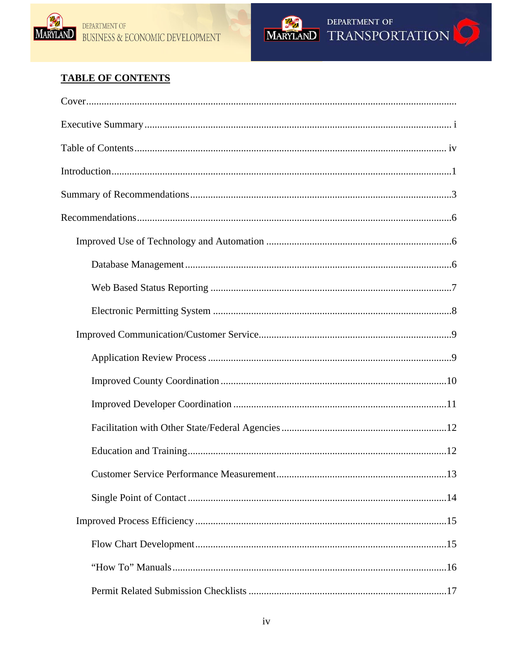



# **TABLE OF CONTENTS**

| .13 |
|-----|
|     |
|     |
|     |
|     |
|     |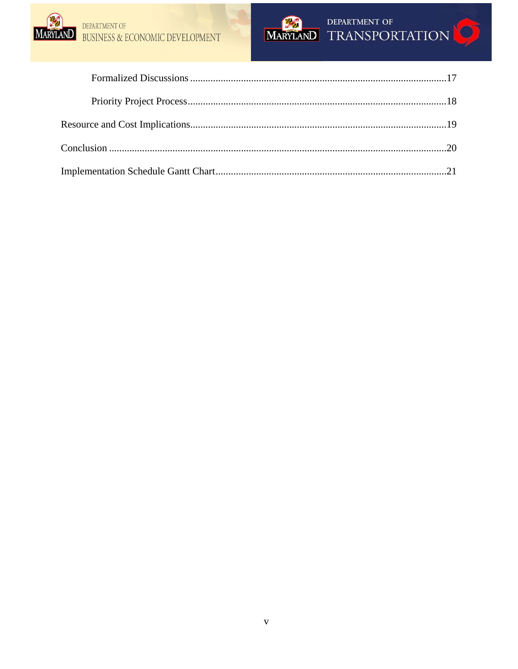

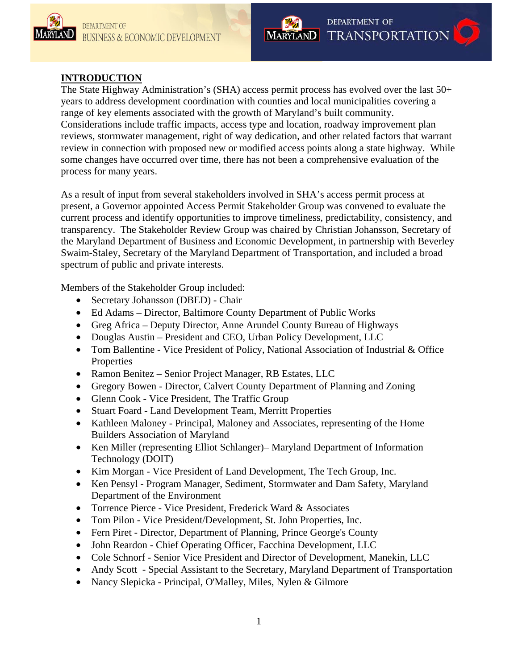



# **INTRODUCTION**

The State Highway Administration's (SHA) access permit process has evolved over the last 50+ years to address development coordination with counties and local municipalities covering a range of key elements associated with the growth of Maryland's built community. Considerations include traffic impacts, access type and location, roadway improvement plan reviews, stormwater management, right of way dedication, and other related factors that warrant review in connection with proposed new or modified access points along a state highway. While some changes have occurred over time, there has not been a comprehensive evaluation of the process for many years.

As a result of input from several stakeholders involved in SHA's access permit process at present, a Governor appointed Access Permit Stakeholder Group was convened to evaluate the current process and identify opportunities to improve timeliness, predictability, consistency, and transparency. The Stakeholder Review Group was chaired by Christian Johansson, Secretary of the Maryland Department of Business and Economic Development, in partnership with Beverley Swaim-Staley, Secretary of the Maryland Department of Transportation, and included a broad spectrum of public and private interests.

Members of the Stakeholder Group included:

- Secretary Johansson (DBED) Chair
- Ed Adams Director, Baltimore County Department of Public Works
- Greg Africa Deputy Director, Anne Arundel County Bureau of Highways
- Douglas Austin President and CEO, Urban Policy Development, LLC
- Tom Ballentine Vice President of Policy, National Association of Industrial & Office Properties
- Ramon Benitez Senior Project Manager, RB Estates, LLC
- Gregory Bowen Director, Calvert County Department of Planning and Zoning
- Glenn Cook Vice President, The Traffic Group
- Stuart Foard Land Development Team, Merritt Properties
- Kathleen Maloney Principal, Maloney and Associates, representing of the Home Builders Association of Maryland
- Ken Miller (representing Elliot Schlanger)– Maryland Department of Information Technology (DOIT)
- Kim Morgan Vice President of Land Development, The Tech Group, Inc.
- Ken Pensyl Program Manager, Sediment, Stormwater and Dam Safety, Maryland Department of the Environment
- Torrence Pierce Vice President, Frederick Ward & Associates
- Tom Pilon Vice President/Development, St. John Properties, Inc.
- Fern Piret Director, Department of Planning, Prince George's County
- John Reardon Chief Operating Officer, Facchina Development, LLC
- Cole Schnorf Senior Vice President and Director of Development, Manekin, LLC
- Andy Scott Special Assistant to the Secretary, Maryland Department of Transportation
- Nancy Slepicka Principal, O'Malley, Miles, Nylen & Gilmore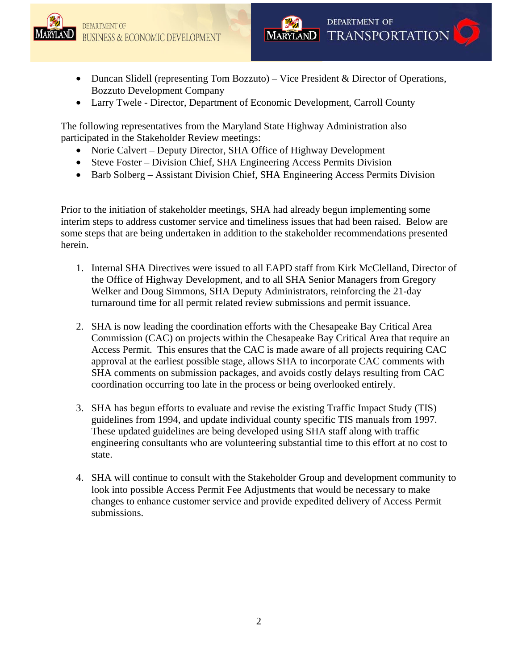



- Duncan Slidell (representing Tom Bozzuto) Vice President & Director of Operations, Bozzuto Development Company
- Larry Twele Director, Department of Economic Development, Carroll County

The following representatives from the Maryland State Highway Administration also participated in the Stakeholder Review meetings:

- Norie Calvert Deputy Director, SHA Office of Highway Development
- Steve Foster Division Chief, SHA Engineering Access Permits Division
- Barb Solberg Assistant Division Chief, SHA Engineering Access Permits Division

Prior to the initiation of stakeholder meetings, SHA had already begun implementing some interim steps to address customer service and timeliness issues that had been raised. Below are some steps that are being undertaken in addition to the stakeholder recommendations presented herein.

- 1. Internal SHA Directives were issued to all EAPD staff from Kirk McClelland, Director of the Office of Highway Development, and to all SHA Senior Managers from Gregory Welker and Doug Simmons, SHA Deputy Administrators, reinforcing the 21-day turnaround time for all permit related review submissions and permit issuance.
- 2. SHA is now leading the coordination efforts with the Chesapeake Bay Critical Area Commission (CAC) on projects within the Chesapeake Bay Critical Area that require an Access Permit. This ensures that the CAC is made aware of all projects requiring CAC approval at the earliest possible stage, allows SHA to incorporate CAC comments with SHA comments on submission packages, and avoids costly delays resulting from CAC coordination occurring too late in the process or being overlooked entirely.
- 3. SHA has begun efforts to evaluate and revise the existing Traffic Impact Study (TIS) guidelines from 1994, and update individual county specific TIS manuals from 1997. These updated guidelines are being developed using SHA staff along with traffic engineering consultants who are volunteering substantial time to this effort at no cost to state.
- 4. SHA will continue to consult with the Stakeholder Group and development community to look into possible Access Permit Fee Adjustments that would be necessary to make changes to enhance customer service and provide expedited delivery of Access Permit submissions.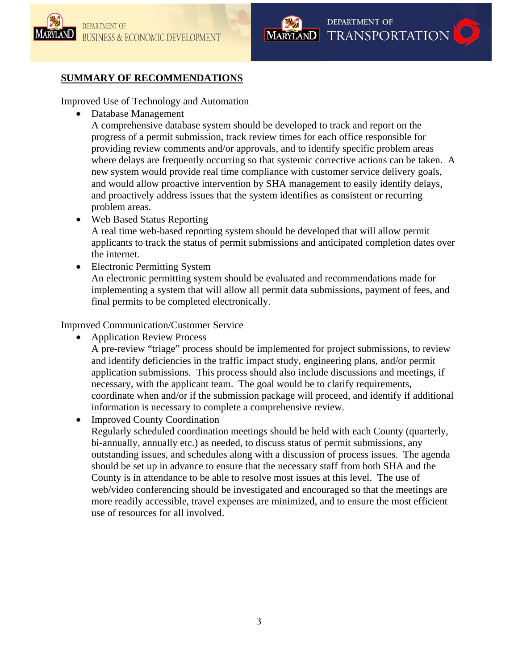



# **SUMMARY OF RECOMMENDATIONS**

Improved Use of Technology and Automation

• Database Management

A comprehensive database system should be developed to track and report on the progress of a permit submission, track review times for each office responsible for providing review comments and/or approvals, and to identify specific problem areas where delays are frequently occurring so that systemic corrective actions can be taken. A new system would provide real time compliance with customer service delivery goals, and would allow proactive intervention by SHA management to easily identify delays, and proactively address issues that the system identifies as consistent or recurring problem areas.

• Web Based Status Reporting

A real time web-based reporting system should be developed that will allow permit applicants to track the status of permit submissions and anticipated completion dates over the internet.

• Electronic Permitting System

An electronic permitting system should be evaluated and recommendations made for implementing a system that will allow all permit data submissions, payment of fees, and final permits to be completed electronically.

Improved Communication/Customer Service

• Application Review Process

A pre-review "triage" process should be implemented for project submissions, to review and identify deficiencies in the traffic impact study, engineering plans, and/or permit application submissions. This process should also include discussions and meetings, if necessary, with the applicant team. The goal would be to clarify requirements, coordinate when and/or if the submission package will proceed, and identify if additional information is necessary to complete a comprehensive review.

• Improved County Coordination

Regularly scheduled coordination meetings should be held with each County (quarterly, bi-annually, annually etc.) as needed, to discuss status of permit submissions, any outstanding issues, and schedules along with a discussion of process issues. The agenda should be set up in advance to ensure that the necessary staff from both SHA and the County is in attendance to be able to resolve most issues at this level. The use of web/video conferencing should be investigated and encouraged so that the meetings are more readily accessible, travel expenses are minimized, and to ensure the most efficient use of resources for all involved.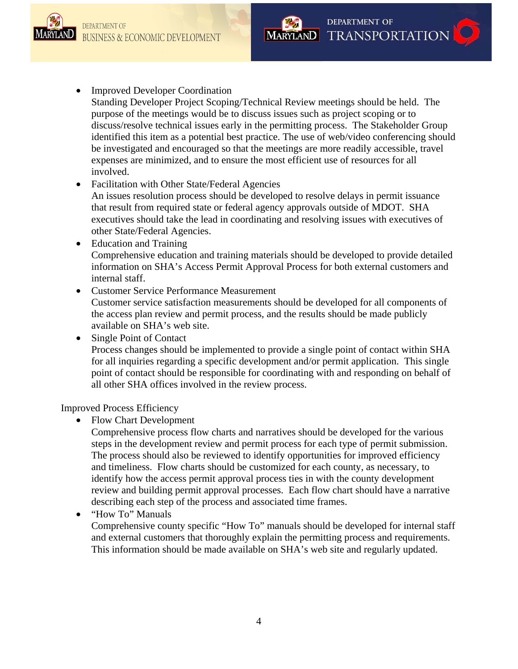

# • Improved Developer Coordination

Standing Developer Project Scoping/Technical Review meetings should be held. The purpose of the meetings would be to discuss issues such as project scoping or to discuss/resolve technical issues early in the permitting process. The Stakeholder Group identified this item as a potential best practice. The use of web/video conferencing should be investigated and encouraged so that the meetings are more readily accessible, travel expenses are minimized, and to ensure the most efficient use of resources for all involved.

# • Facilitation with Other State/Federal Agencies

An issues resolution process should be developed to resolve delays in permit issuance that result from required state or federal agency approvals outside of MDOT. SHA executives should take the lead in coordinating and resolving issues with executives of other State/Federal Agencies.

- Education and Training Comprehensive education and training materials should be developed to provide detailed information on SHA's Access Permit Approval Process for both external customers and internal staff.
- Customer Service Performance Measurement

Customer service satisfaction measurements should be developed for all components of the access plan review and permit process, and the results should be made publicly available on SHA's web site.

• Single Point of Contact

Process changes should be implemented to provide a single point of contact within SHA for all inquiries regarding a specific development and/or permit application. This single point of contact should be responsible for coordinating with and responding on behalf of all other SHA offices involved in the review process.

Improved Process Efficiency

• Flow Chart Development

Comprehensive process flow charts and narratives should be developed for the various steps in the development review and permit process for each type of permit submission. The process should also be reviewed to identify opportunities for improved efficiency and timeliness. Flow charts should be customized for each county, as necessary, to identify how the access permit approval process ties in with the county development review and building permit approval processes. Each flow chart should have a narrative describing each step of the process and associated time frames.

• "How To" Manuals

Comprehensive county specific "How To" manuals should be developed for internal staff and external customers that thoroughly explain the permitting process and requirements. This information should be made available on SHA's web site and regularly updated.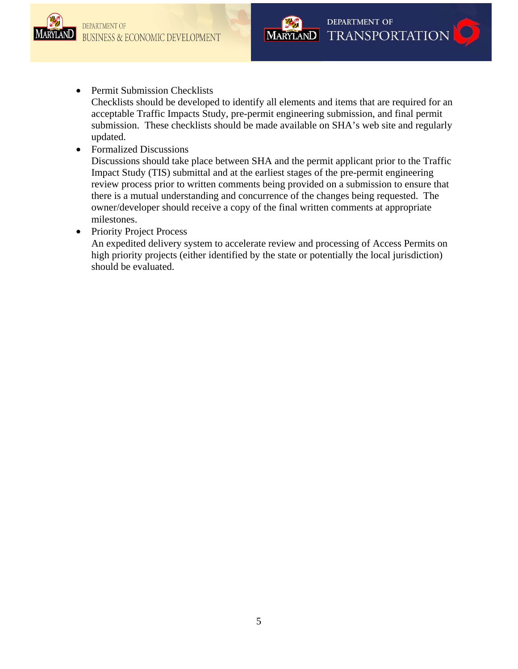



# • Permit Submission Checklists

Checklists should be developed to identify all elements and items that are required for an acceptable Traffic Impacts Study, pre-permit engineering submission, and final permit submission. These checklists should be made available on SHA's web site and regularly updated.

• Formalized Discussions

Discussions should take place between SHA and the permit applicant prior to the Traffic Impact Study (TIS) submittal and at the earliest stages of the pre-permit engineering review process prior to written comments being provided on a submission to ensure that there is a mutual understanding and concurrence of the changes being requested. The owner/developer should receive a copy of the final written comments at appropriate milestones.

• Priority Project Process

An expedited delivery system to accelerate review and processing of Access Permits on high priority projects (either identified by the state or potentially the local jurisdiction) should be evaluated.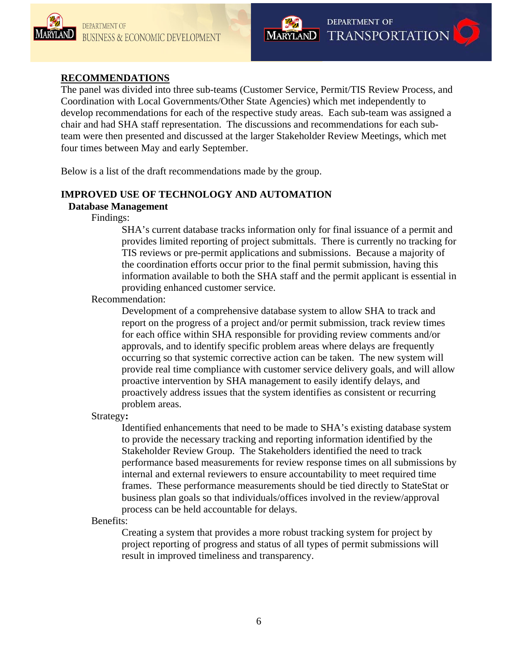



# **RECOMMENDATIONS**

The panel was divided into three sub-teams (Customer Service, Permit/TIS Review Process, and Coordination with Local Governments/Other State Agencies) which met independently to develop recommendations for each of the respective study areas. Each sub-team was assigned a chair and had SHA staff representation. The discussions and recommendations for each subteam were then presented and discussed at the larger Stakeholder Review Meetings, which met four times between May and early September.

Below is a list of the draft recommendations made by the group.

# **IMPROVED USE OF TECHNOLOGY AND AUTOMATION**

# **Database Management**

# Findings:

SHA's current database tracks information only for final issuance of a permit and provides limited reporting of project submittals. There is currently no tracking for TIS reviews or pre-permit applications and submissions. Because a majority of the coordination efforts occur prior to the final permit submission, having this information available to both the SHA staff and the permit applicant is essential in providing enhanced customer service.

#### Recommendation:

Development of a comprehensive database system to allow SHA to track and report on the progress of a project and/or permit submission, track review times for each office within SHA responsible for providing review comments and/or approvals, and to identify specific problem areas where delays are frequently occurring so that systemic corrective action can be taken. The new system will provide real time compliance with customer service delivery goals, and will allow proactive intervention by SHA management to easily identify delays, and proactively address issues that the system identifies as consistent or recurring problem areas.

Strategy**:** 

Identified enhancements that need to be made to SHA's existing database system to provide the necessary tracking and reporting information identified by the Stakeholder Review Group. The Stakeholders identified the need to track performance based measurements for review response times on all submissions by internal and external reviewers to ensure accountability to meet required time frames. These performance measurements should be tied directly to StateStat or business plan goals so that individuals/offices involved in the review/approval process can be held accountable for delays.

Benefits:

Creating a system that provides a more robust tracking system for project by project reporting of progress and status of all types of permit submissions will result in improved timeliness and transparency.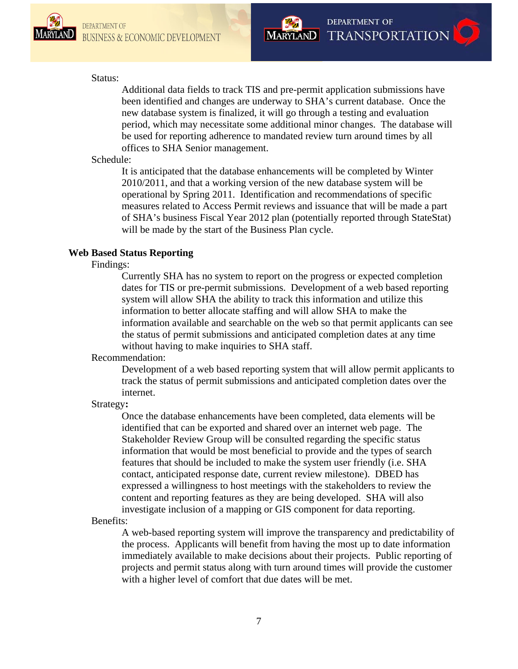



#### Status:

Additional data fields to track TIS and pre-permit application submissions have been identified and changes are underway to SHA's current database. Once the new database system is finalized, it will go through a testing and evaluation period, which may necessitate some additional minor changes. The database will be used for reporting adherence to mandated review turn around times by all offices to SHA Senior management.

# Schedule:

It is anticipated that the database enhancements will be completed by Winter 2010/2011, and that a working version of the new database system will be operational by Spring 2011. Identification and recommendations of specific measures related to Access Permit reviews and issuance that will be made a part of SHA's business Fiscal Year 2012 plan (potentially reported through StateStat) will be made by the start of the Business Plan cycle.

# **Web Based Status Reporting**

Findings:

Currently SHA has no system to report on the progress or expected completion dates for TIS or pre-permit submissions. Development of a web based reporting system will allow SHA the ability to track this information and utilize this information to better allocate staffing and will allow SHA to make the information available and searchable on the web so that permit applicants can see the status of permit submissions and anticipated completion dates at any time without having to make inquiries to SHA staff.

# Recommendation:

Development of a web based reporting system that will allow permit applicants to track the status of permit submissions and anticipated completion dates over the internet.

# Strategy**:**

Once the database enhancements have been completed, data elements will be identified that can be exported and shared over an internet web page. The Stakeholder Review Group will be consulted regarding the specific status information that would be most beneficial to provide and the types of search features that should be included to make the system user friendly (i.e. SHA contact, anticipated response date, current review milestone). DBED has expressed a willingness to host meetings with the stakeholders to review the content and reporting features as they are being developed. SHA will also investigate inclusion of a mapping or GIS component for data reporting.

# Benefits:

A web-based reporting system will improve the transparency and predictability of the process. Applicants will benefit from having the most up to date information immediately available to make decisions about their projects. Public reporting of projects and permit status along with turn around times will provide the customer with a higher level of comfort that due dates will be met.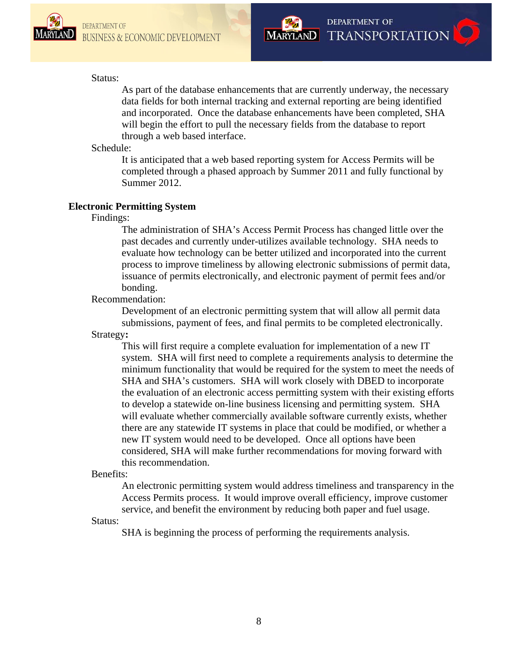



# Status:

As part of the database enhancements that are currently underway, the necessary data fields for both internal tracking and external reporting are being identified and incorporated. Once the database enhancements have been completed, SHA will begin the effort to pull the necessary fields from the database to report through a web based interface.

#### Schedule:

It is anticipated that a web based reporting system for Access Permits will be completed through a phased approach by Summer 2011 and fully functional by Summer 2012.

# **Electronic Permitting System**

Findings:

The administration of SHA's Access Permit Process has changed little over the past decades and currently under-utilizes available technology. SHA needs to evaluate how technology can be better utilized and incorporated into the current process to improve timeliness by allowing electronic submissions of permit data, issuance of permits electronically, and electronic payment of permit fees and/or bonding.

Recommendation:

Development of an electronic permitting system that will allow all permit data submissions, payment of fees, and final permits to be completed electronically.

Strategy**:** 

This will first require a complete evaluation for implementation of a new IT system. SHA will first need to complete a requirements analysis to determine the minimum functionality that would be required for the system to meet the needs of SHA and SHA's customers. SHA will work closely with DBED to incorporate the evaluation of an electronic access permitting system with their existing efforts to develop a statewide on-line business licensing and permitting system. SHA will evaluate whether commercially available software currently exists, whether there are any statewide IT systems in place that could be modified, or whether a new IT system would need to be developed. Once all options have been considered, SHA will make further recommendations for moving forward with this recommendation.

Benefits:

An electronic permitting system would address timeliness and transparency in the Access Permits process. It would improve overall efficiency, improve customer service, and benefit the environment by reducing both paper and fuel usage.

Status:

SHA is beginning the process of performing the requirements analysis.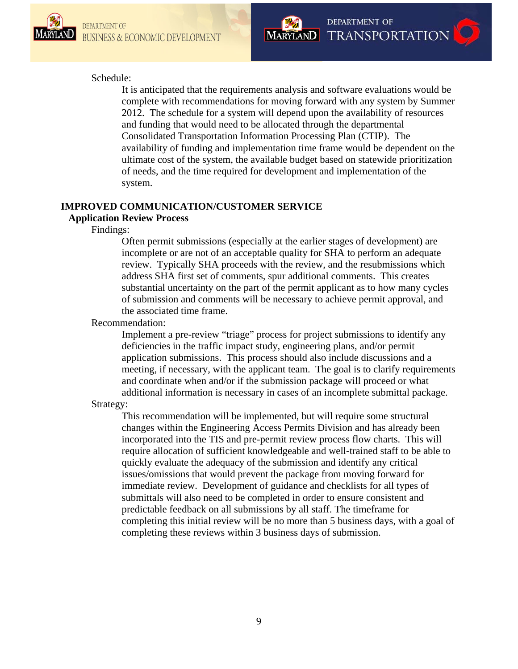



# Schedule:

It is anticipated that the requirements analysis and software evaluations would be complete with recommendations for moving forward with any system by Summer 2012. The schedule for a system will depend upon the availability of resources and funding that would need to be allocated through the departmental Consolidated Transportation Information Processing Plan (CTIP). The availability of funding and implementation time frame would be dependent on the ultimate cost of the system, the available budget based on statewide prioritization of needs, and the time required for development and implementation of the system.

# **IMPROVED COMMUNICATION/CUSTOMER SERVICE Application Review Process**

# Findings:

Often permit submissions (especially at the earlier stages of development) are incomplete or are not of an acceptable quality for SHA to perform an adequate review. Typically SHA proceeds with the review, and the resubmissions which address SHA first set of comments, spur additional comments. This creates substantial uncertainty on the part of the permit applicant as to how many cycles of submission and comments will be necessary to achieve permit approval, and the associated time frame.

# Recommendation:

Implement a pre-review "triage" process for project submissions to identify any deficiencies in the traffic impact study, engineering plans, and/or permit application submissions. This process should also include discussions and a meeting, if necessary, with the applicant team. The goal is to clarify requirements and coordinate when and/or if the submission package will proceed or what additional information is necessary in cases of an incomplete submittal package.

#### Strategy:

This recommendation will be implemented, but will require some structural changes within the Engineering Access Permits Division and has already been incorporated into the TIS and pre-permit review process flow charts. This will require allocation of sufficient knowledgeable and well-trained staff to be able to quickly evaluate the adequacy of the submission and identify any critical issues/omissions that would prevent the package from moving forward for immediate review. Development of guidance and checklists for all types of submittals will also need to be completed in order to ensure consistent and predictable feedback on all submissions by all staff. The timeframe for completing this initial review will be no more than 5 business days, with a goal of completing these reviews within 3 business days of submission.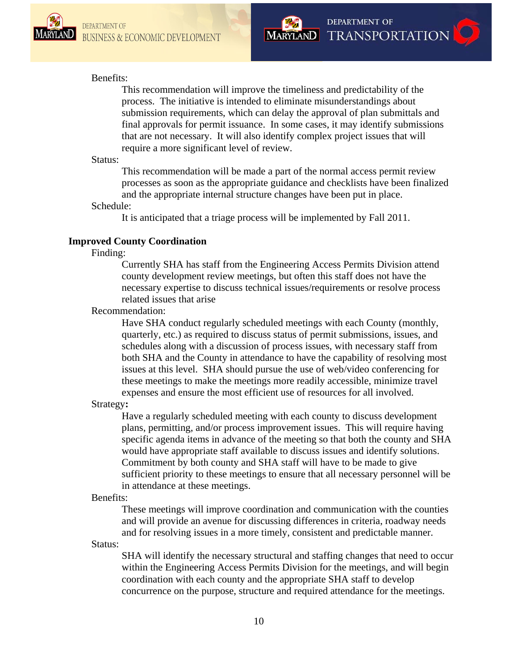



# Benefits:

This recommendation will improve the timeliness and predictability of the process. The initiative is intended to eliminate misunderstandings about submission requirements, which can delay the approval of plan submittals and final approvals for permit issuance. In some cases, it may identify submissions that are not necessary. It will also identify complex project issues that will require a more significant level of review.

#### Status:

This recommendation will be made a part of the normal access permit review processes as soon as the appropriate guidance and checklists have been finalized and the appropriate internal structure changes have been put in place.

#### Schedule:

It is anticipated that a triage process will be implemented by Fall 2011.

# **Improved County Coordination**

# Finding:

Currently SHA has staff from the Engineering Access Permits Division attend county development review meetings, but often this staff does not have the necessary expertise to discuss technical issues/requirements or resolve process related issues that arise

# Recommendation:

Have SHA conduct regularly scheduled meetings with each County (monthly, quarterly, etc.) as required to discuss status of permit submissions, issues, and schedules along with a discussion of process issues, with necessary staff from both SHA and the County in attendance to have the capability of resolving most issues at this level. SHA should pursue the use of web/video conferencing for these meetings to make the meetings more readily accessible, minimize travel expenses and ensure the most efficient use of resources for all involved.

# Strategy**:**

Have a regularly scheduled meeting with each county to discuss development plans, permitting, and/or process improvement issues. This will require having specific agenda items in advance of the meeting so that both the county and SHA would have appropriate staff available to discuss issues and identify solutions. Commitment by both county and SHA staff will have to be made to give sufficient priority to these meetings to ensure that all necessary personnel will be in attendance at these meetings.

#### Benefits:

These meetings will improve coordination and communication with the counties and will provide an avenue for discussing differences in criteria, roadway needs and for resolving issues in a more timely, consistent and predictable manner.

Status:

SHA will identify the necessary structural and staffing changes that need to occur within the Engineering Access Permits Division for the meetings, and will begin coordination with each county and the appropriate SHA staff to develop concurrence on the purpose, structure and required attendance for the meetings.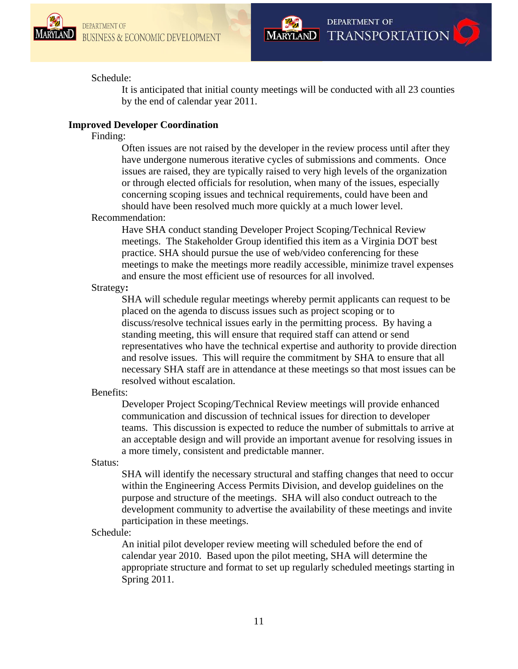



# Schedule:

It is anticipated that initial county meetings will be conducted with all 23 counties by the end of calendar year 2011.

# **Improved Developer Coordination**

# Finding:

Often issues are not raised by the developer in the review process until after they have undergone numerous iterative cycles of submissions and comments. Once issues are raised, they are typically raised to very high levels of the organization or through elected officials for resolution, when many of the issues, especially concerning scoping issues and technical requirements, could have been and should have been resolved much more quickly at a much lower level.

# Recommendation:

Have SHA conduct standing Developer Project Scoping/Technical Review meetings. The Stakeholder Group identified this item as a Virginia DOT best practice. SHA should pursue the use of web/video conferencing for these meetings to make the meetings more readily accessible, minimize travel expenses and ensure the most efficient use of resources for all involved.

# Strategy**:**

SHA will schedule regular meetings whereby permit applicants can request to be placed on the agenda to discuss issues such as project scoping or to discuss/resolve technical issues early in the permitting process. By having a standing meeting, this will ensure that required staff can attend or send representatives who have the technical expertise and authority to provide direction and resolve issues. This will require the commitment by SHA to ensure that all necessary SHA staff are in attendance at these meetings so that most issues can be resolved without escalation.

# Benefits:

Developer Project Scoping/Technical Review meetings will provide enhanced communication and discussion of technical issues for direction to developer teams. This discussion is expected to reduce the number of submittals to arrive at an acceptable design and will provide an important avenue for resolving issues in a more timely, consistent and predictable manner.

# Status:

SHA will identify the necessary structural and staffing changes that need to occur within the Engineering Access Permits Division, and develop guidelines on the purpose and structure of the meetings. SHA will also conduct outreach to the development community to advertise the availability of these meetings and invite participation in these meetings.

# Schedule:

An initial pilot developer review meeting will scheduled before the end of calendar year 2010. Based upon the pilot meeting, SHA will determine the appropriate structure and format to set up regularly scheduled meetings starting in Spring 2011.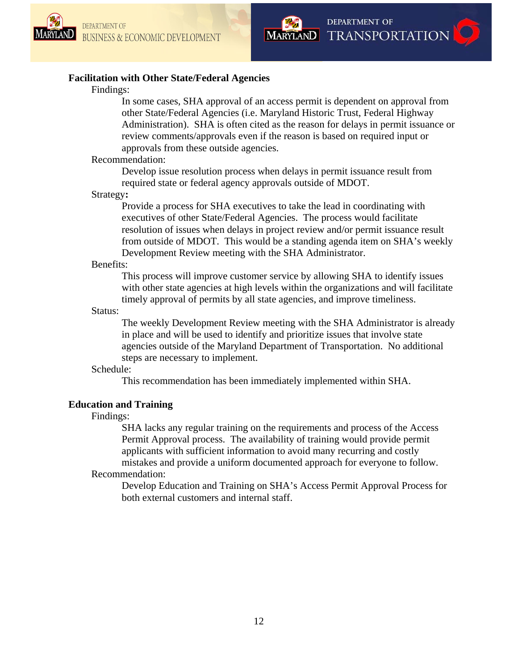



# **Facilitation with Other State/Federal Agencies**

# Findings:

In some cases, SHA approval of an access permit is dependent on approval from other State/Federal Agencies (i.e. Maryland Historic Trust, Federal Highway Administration). SHA is often cited as the reason for delays in permit issuance or review comments/approvals even if the reason is based on required input or approvals from these outside agencies.

#### Recommendation:

Develop issue resolution process when delays in permit issuance result from required state or federal agency approvals outside of MDOT.

# Strategy**:**

Provide a process for SHA executives to take the lead in coordinating with executives of other State/Federal Agencies. The process would facilitate resolution of issues when delays in project review and/or permit issuance result from outside of MDOT. This would be a standing agenda item on SHA's weekly Development Review meeting with the SHA Administrator.

#### Benefits:

This process will improve customer service by allowing SHA to identify issues with other state agencies at high levels within the organizations and will facilitate timely approval of permits by all state agencies, and improve timeliness.

# Status:

The weekly Development Review meeting with the SHA Administrator is already in place and will be used to identify and prioritize issues that involve state agencies outside of the Maryland Department of Transportation. No additional steps are necessary to implement.

# Schedule:

This recommendation has been immediately implemented within SHA.

# **Education and Training**

# Findings:

SHA lacks any regular training on the requirements and process of the Access Permit Approval process. The availability of training would provide permit applicants with sufficient information to avoid many recurring and costly mistakes and provide a uniform documented approach for everyone to follow.

# Recommendation:

Develop Education and Training on SHA's Access Permit Approval Process for both external customers and internal staff.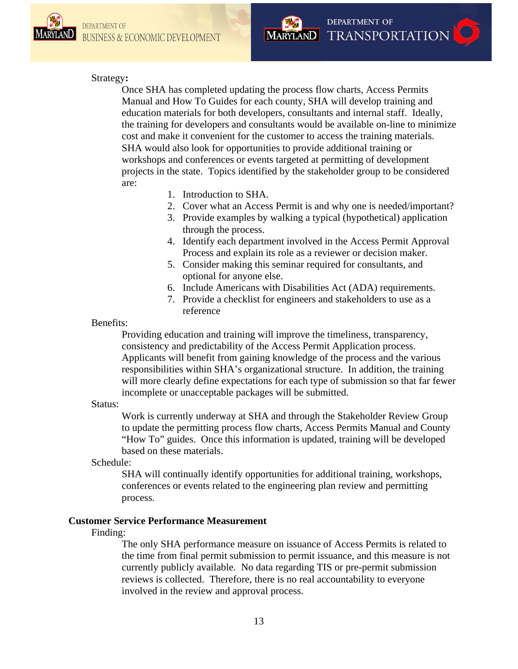

# Strategy**:**

Once SHA has completed updating the process flow charts, Access Permits Manual and How To Guides for each county, SHA will develop training and education materials for both developers, consultants and internal staff. Ideally, the training for developers and consultants would be available on-line to minimize cost and make it convenient for the customer to access the training materials. SHA would also look for opportunities to provide additional training or workshops and conferences or events targeted at permitting of development projects in the state. Topics identified by the stakeholder group to be considered are:

- 1. Introduction to SHA.
- 2. Cover what an Access Permit is and why one is needed/important?

**DEPARTMENT OF** 

MARYLAND TRANSPORTATION

- 3. Provide examples by walking a typical (hypothetical) application through the process.
- 4. Identify each department involved in the Access Permit Approval Process and explain its role as a reviewer or decision maker.
- 5. Consider making this seminar required for consultants, and optional for anyone else.
- 6. Include Americans with Disabilities Act (ADA) requirements.
- 7. Provide a checklist for engineers and stakeholders to use as a reference

# Benefits:

Providing education and training will improve the timeliness, transparency, consistency and predictability of the Access Permit Application process. Applicants will benefit from gaining knowledge of the process and the various responsibilities within SHA's organizational structure. In addition, the training will more clearly define expectations for each type of submission so that far fewer incomplete or unacceptable packages will be submitted.

# Status:

Work is currently underway at SHA and through the Stakeholder Review Group to update the permitting process flow charts, Access Permits Manual and County "How To" guides. Once this information is updated, training will be developed based on these materials.

# Schedule:

SHA will continually identify opportunities for additional training, workshops, conferences or events related to the engineering plan review and permitting process.

# **Customer Service Performance Measurement**

# Finding:

The only SHA performance measure on issuance of Access Permits is related to the time from final permit submission to permit issuance, and this measure is not currently publicly available. No data regarding TIS or pre-permit submission reviews is collected. Therefore, there is no real accountability to everyone involved in the review and approval process.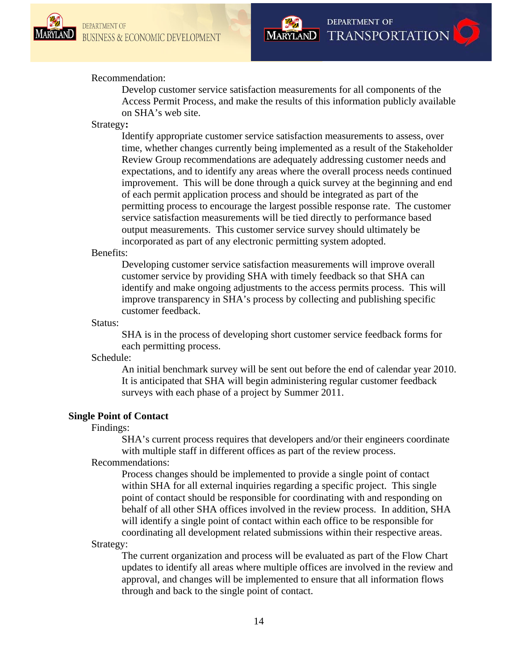



# Recommendation:

Develop customer service satisfaction measurements for all components of the Access Permit Process, and make the results of this information publicly available on SHA's web site.

#### Strategy**:**

Identify appropriate customer service satisfaction measurements to assess, over time, whether changes currently being implemented as a result of the Stakeholder Review Group recommendations are adequately addressing customer needs and expectations, and to identify any areas where the overall process needs continued improvement. This will be done through a quick survey at the beginning and end of each permit application process and should be integrated as part of the permitting process to encourage the largest possible response rate. The customer service satisfaction measurements will be tied directly to performance based output measurements. This customer service survey should ultimately be incorporated as part of any electronic permitting system adopted.

# Benefits:

Developing customer service satisfaction measurements will improve overall customer service by providing SHA with timely feedback so that SHA can identify and make ongoing adjustments to the access permits process. This will improve transparency in SHA's process by collecting and publishing specific customer feedback.

#### Status:

SHA is in the process of developing short customer service feedback forms for each permitting process.

#### Schedule:

An initial benchmark survey will be sent out before the end of calendar year 2010. It is anticipated that SHA will begin administering regular customer feedback surveys with each phase of a project by Summer 2011.

# **Single Point of Contact**

#### Findings:

SHA's current process requires that developers and/or their engineers coordinate with multiple staff in different offices as part of the review process. Recommendations:

Process changes should be implemented to provide a single point of contact within SHA for all external inquiries regarding a specific project. This single point of contact should be responsible for coordinating with and responding on behalf of all other SHA offices involved in the review process. In addition, SHA will identify a single point of contact within each office to be responsible for coordinating all development related submissions within their respective areas.

# Strategy:

The current organization and process will be evaluated as part of the Flow Chart updates to identify all areas where multiple offices are involved in the review and approval, and changes will be implemented to ensure that all information flows through and back to the single point of contact.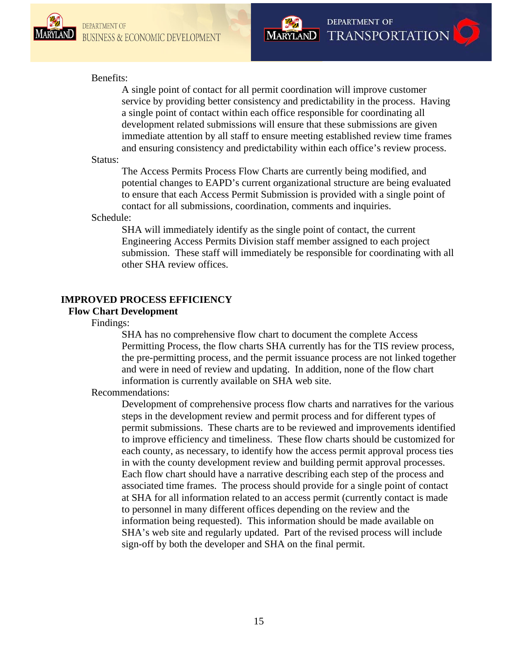



# Benefits:

A single point of contact for all permit coordination will improve customer service by providing better consistency and predictability in the process. Having a single point of contact within each office responsible for coordinating all development related submissions will ensure that these submissions are given immediate attention by all staff to ensure meeting established review time frames and ensuring consistency and predictability within each office's review process.

#### Status:

The Access Permits Process Flow Charts are currently being modified, and potential changes to EAPD's current organizational structure are being evaluated to ensure that each Access Permit Submission is provided with a single point of contact for all submissions, coordination, comments and inquiries.

# Schedule:

SHA will immediately identify as the single point of contact, the current Engineering Access Permits Division staff member assigned to each project submission. These staff will immediately be responsible for coordinating with all other SHA review offices.

# **IMPROVED PROCESS EFFICIENCY**

# **Flow Chart Development**

Findings:

SHA has no comprehensive flow chart to document the complete Access Permitting Process, the flow charts SHA currently has for the TIS review process, the pre-permitting process, and the permit issuance process are not linked together and were in need of review and updating. In addition, none of the flow chart information is currently available on SHA web site.

# Recommendations:

Development of comprehensive process flow charts and narratives for the various steps in the development review and permit process and for different types of permit submissions. These charts are to be reviewed and improvements identified to improve efficiency and timeliness. These flow charts should be customized for each county, as necessary, to identify how the access permit approval process ties in with the county development review and building permit approval processes. Each flow chart should have a narrative describing each step of the process and associated time frames. The process should provide for a single point of contact at SHA for all information related to an access permit (currently contact is made to personnel in many different offices depending on the review and the information being requested). This information should be made available on SHA's web site and regularly updated. Part of the revised process will include sign-off by both the developer and SHA on the final permit.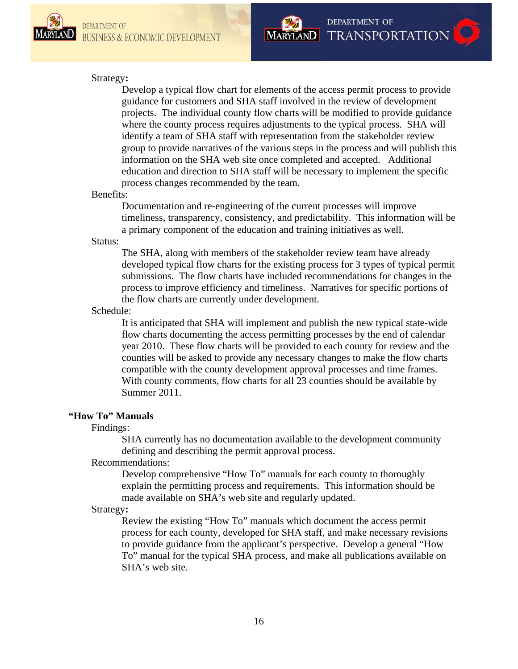

# **DEPARTMENT OF** MARYLAND TRANSPORTATION

# Strategy**:**

Develop a typical flow chart for elements of the access permit process to provide guidance for customers and SHA staff involved in the review of development projects. The individual county flow charts will be modified to provide guidance where the county process requires adjustments to the typical process. SHA will identify a team of SHA staff with representation from the stakeholder review group to provide narratives of the various steps in the process and will publish this information on the SHA web site once completed and accepted. Additional education and direction to SHA staff will be necessary to implement the specific process changes recommended by the team.

# Benefits:

Documentation and re-engineering of the current processes will improve timeliness, transparency, consistency, and predictability. This information will be a primary component of the education and training initiatives as well.

# Status:

The SHA, along with members of the stakeholder review team have already developed typical flow charts for the existing process for 3 types of typical permit submissions. The flow charts have included recommendations for changes in the process to improve efficiency and timeliness. Narratives for specific portions of the flow charts are currently under development.

# Schedule:

It is anticipated that SHA will implement and publish the new typical state-wide flow charts documenting the access permitting processes by the end of calendar year 2010. These flow charts will be provided to each county for review and the counties will be asked to provide any necessary changes to make the flow charts compatible with the county development approval processes and time frames. With county comments, flow charts for all 23 counties should be available by Summer 2011.

#### **"How To" Manuals**

#### Findings:

SHA currently has no documentation available to the development community defining and describing the permit approval process.

Recommendations:

Develop comprehensive "How To" manuals for each county to thoroughly explain the permitting process and requirements. This information should be made available on SHA's web site and regularly updated.

#### Strategy**:**

Review the existing "How To" manuals which document the access permit process for each county, developed for SHA staff, and make necessary revisions to provide guidance from the applicant's perspective. Develop a general "How To" manual for the typical SHA process, and make all publications available on SHA's web site.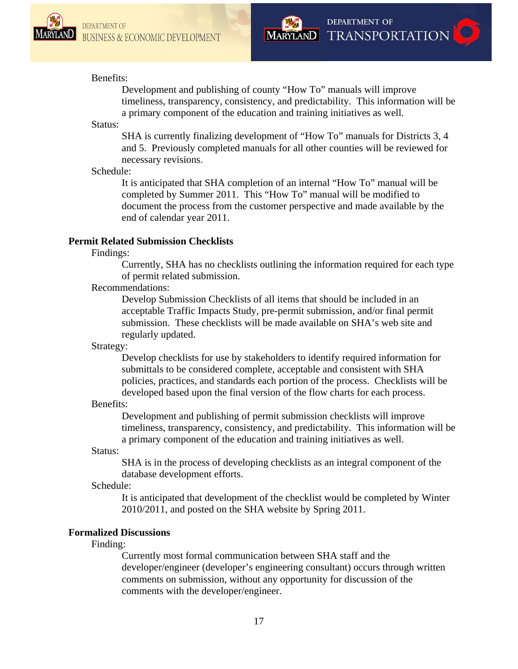



# Benefits:

Development and publishing of county "How To" manuals will improve timeliness, transparency, consistency, and predictability. This information will be a primary component of the education and training initiatives as well.

# Status:

SHA is currently finalizing development of "How To" manuals for Districts 3, 4 and 5. Previously completed manuals for all other counties will be reviewed for necessary revisions.

# Schedule:

It is anticipated that SHA completion of an internal "How To" manual will be completed by Summer 2011. This "How To" manual will be modified to document the process from the customer perspective and made available by the end of calendar year 2011.

# **Permit Related Submission Checklists**

# Findings:

Currently, SHA has no checklists outlining the information required for each type of permit related submission.

# Recommendations:

Develop Submission Checklists of all items that should be included in an acceptable Traffic Impacts Study, pre-permit submission, and/or final permit submission. These checklists will be made available on SHA's web site and regularly updated.

# Strategy:

Develop checklists for use by stakeholders to identify required information for submittals to be considered complete, acceptable and consistent with SHA policies, practices, and standards each portion of the process. Checklists will be developed based upon the final version of the flow charts for each process.

# Benefits:

Development and publishing of permit submission checklists will improve timeliness, transparency, consistency, and predictability. This information will be a primary component of the education and training initiatives as well.

# Status:

SHA is in the process of developing checklists as an integral component of the database development efforts.

# Schedule:

It is anticipated that development of the checklist would be completed by Winter 2010/2011, and posted on the SHA website by Spring 2011.

# **Formalized Discussions**

# Finding:

Currently most formal communication between SHA staff and the developer/engineer (developer's engineering consultant) occurs through written comments on submission, without any opportunity for discussion of the comments with the developer/engineer.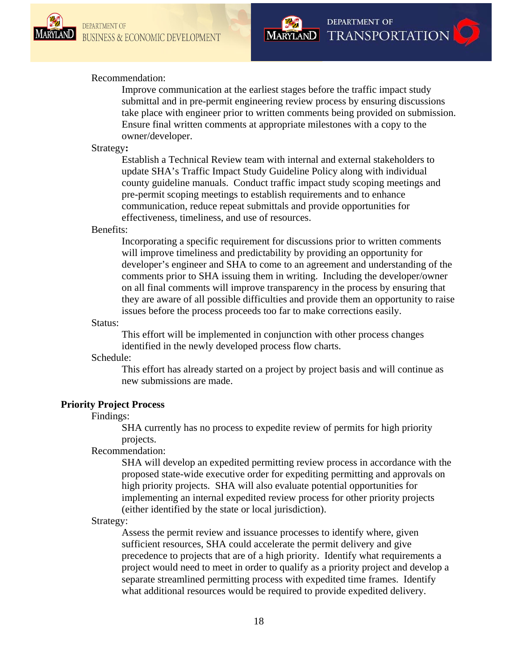



# Recommendation:

Improve communication at the earliest stages before the traffic impact study submittal and in pre-permit engineering review process by ensuring discussions take place with engineer prior to written comments being provided on submission. Ensure final written comments at appropriate milestones with a copy to the owner/developer.

# Strategy**:**

Establish a Technical Review team with internal and external stakeholders to update SHA's Traffic Impact Study Guideline Policy along with individual county guideline manuals. Conduct traffic impact study scoping meetings and pre-permit scoping meetings to establish requirements and to enhance communication, reduce repeat submittals and provide opportunities for effectiveness, timeliness, and use of resources.

#### Benefits:

Incorporating a specific requirement for discussions prior to written comments will improve timeliness and predictability by providing an opportunity for developer's engineer and SHA to come to an agreement and understanding of the comments prior to SHA issuing them in writing. Including the developer/owner on all final comments will improve transparency in the process by ensuring that they are aware of all possible difficulties and provide them an opportunity to raise issues before the process proceeds too far to make corrections easily.

#### Status:

This effort will be implemented in conjunction with other process changes identified in the newly developed process flow charts.

# Schedule:

This effort has already started on a project by project basis and will continue as new submissions are made.

# **Priority Project Process**

#### Findings:

SHA currently has no process to expedite review of permits for high priority projects.

# Recommendation:

SHA will develop an expedited permitting review process in accordance with the proposed state-wide executive order for expediting permitting and approvals on high priority projects. SHA will also evaluate potential opportunities for implementing an internal expedited review process for other priority projects (either identified by the state or local jurisdiction).

# Strategy:

Assess the permit review and issuance processes to identify where, given sufficient resources, SHA could accelerate the permit delivery and give precedence to projects that are of a high priority. Identify what requirements a project would need to meet in order to qualify as a priority project and develop a separate streamlined permitting process with expedited time frames. Identify what additional resources would be required to provide expedited delivery.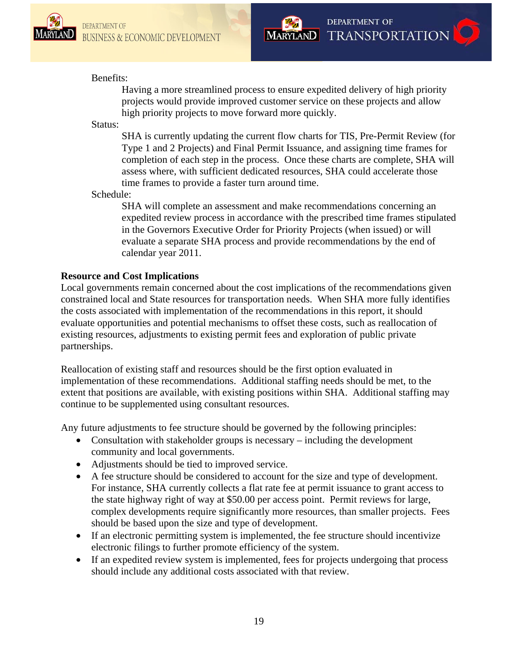



# Benefits:

Having a more streamlined process to ensure expedited delivery of high priority projects would provide improved customer service on these projects and allow high priority projects to move forward more quickly.

#### Status:

SHA is currently updating the current flow charts for TIS, Pre-Permit Review (for Type 1 and 2 Projects) and Final Permit Issuance, and assigning time frames for completion of each step in the process. Once these charts are complete, SHA will assess where, with sufficient dedicated resources, SHA could accelerate those time frames to provide a faster turn around time.

# Schedule:

SHA will complete an assessment and make recommendations concerning an expedited review process in accordance with the prescribed time frames stipulated in the Governors Executive Order for Priority Projects (when issued) or will evaluate a separate SHA process and provide recommendations by the end of calendar year 2011.

# **Resource and Cost Implications**

Local governments remain concerned about the cost implications of the recommendations given constrained local and State resources for transportation needs. When SHA more fully identifies the costs associated with implementation of the recommendations in this report, it should evaluate opportunities and potential mechanisms to offset these costs, such as reallocation of existing resources, adjustments to existing permit fees and exploration of public private partnerships.

Reallocation of existing staff and resources should be the first option evaluated in implementation of these recommendations. Additional staffing needs should be met, to the extent that positions are available, with existing positions within SHA. Additional staffing may continue to be supplemented using consultant resources.

Any future adjustments to fee structure should be governed by the following principles:

- Consultation with stakeholder groups is necessary including the development community and local governments.
- Adjustments should be tied to improved service.
- A fee structure should be considered to account for the size and type of development. For instance, SHA currently collects a flat rate fee at permit issuance to grant access to the state highway right of way at \$50.00 per access point. Permit reviews for large, complex developments require significantly more resources, than smaller projects. Fees should be based upon the size and type of development.
- If an electronic permitting system is implemented, the fee structure should incentivize electronic filings to further promote efficiency of the system.
- If an expedited review system is implemented, fees for projects undergoing that process should include any additional costs associated with that review.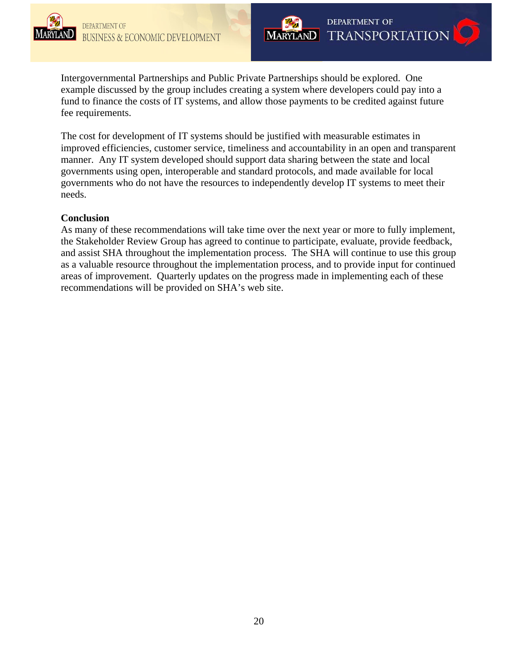

Intergovernmental Partnerships and Public Private Partnerships should be explored. One example discussed by the group includes creating a system where developers could pay into a fund to finance the costs of IT systems, and allow those payments to be credited against future fee requirements.

The cost for development of IT systems should be justified with measurable estimates in improved efficiencies, customer service, timeliness and accountability in an open and transparent manner. Any IT system developed should support data sharing between the state and local governments using open, interoperable and standard protocols, and made available for local governments who do not have the resources to independently develop IT systems to meet their needs.

# **Conclusion**

As many of these recommendations will take time over the next year or more to fully implement, the Stakeholder Review Group has agreed to continue to participate, evaluate, provide feedback, and assist SHA throughout the implementation process. The SHA will continue to use this group as a valuable resource throughout the implementation process, and to provide input for continued areas of improvement. Quarterly updates on the progress made in implementing each of these recommendations will be provided on SHA's web site.